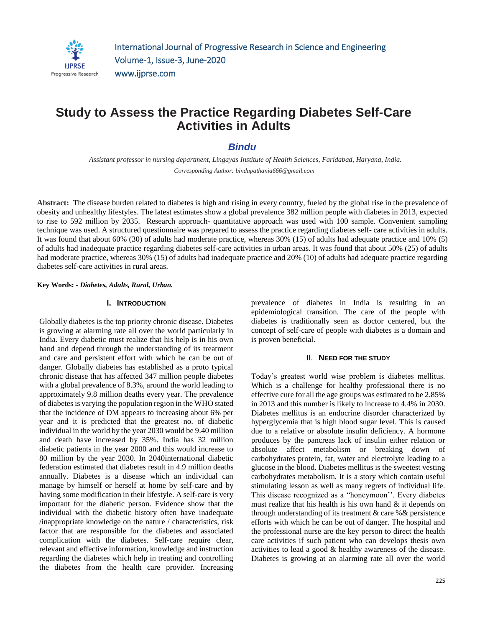

# **Study to Assess the Practice Regarding Diabetes Self-Care Activities in Adults**

# *Bindu*

*Assistant professor in nursing department, Lingayas Institute of Health Sciences, Faridabad, Haryana, India. Corresponding Author: bindupathania666@gmail.com*

**Abstract:** The disease burden related to diabetes is high and rising in every country, fueled by the global rise in the prevalence of obesity and unhealthy lifestyles. The latest estimates show a global prevalence 382 million people with diabetes in 2013, expected to rise to 592 million by 2035. Research approach- quantitative approach was used with 100 sample. Convenient sampling technique was used. A structured questionnaire was prepared to assess the practice regarding diabetes self- care activities in adults. It was found that about 60% (30) of adults had moderate practice, whereas 30% (15) of adults had adequate practice and 10% (5) of adults had inadequate practice regarding diabetes self-care activities in urban areas. It was found that about 50% (25) of adults had moderate practice, whereas 30% (15) of adults had inadequate practice and 20% (10) of adults had adequate practice regarding diabetes self-care activities in rural areas.

#### **Key Words: -** *Diabetes, Adults, Rural, Urban.*

## **I. INTRODUCTION**

Globally diabetes is the top priority chronic disease. Diabetes is growing at alarming rate all over the world particularly in India. Every diabetic must realize that his help is in his own hand and depend through the understanding of its treatment and care and persistent effort with which he can be out of danger. Globally diabetes has established as a proto typical chronic disease that has affected 347 million people diabetes with a global prevalence of 8.3%, around the world leading to approximately 9.8 million deaths every year. The prevalence of diabetes is varying the population region in the WHO stated that the incidence of DM appears to increasing about 6% per year and it is predicted that the greatest no. of diabetic individual in the world by the year 2030 would be 9.40 million and death have increased by 35%. India has 32 million diabetic patients in the year 2000 and this would increase to 80 million by the year 2030. In 2040international diabetic federation estimated that diabetes result in 4.9 million deaths annually. Diabetes is a disease which an individual can manage by himself or herself at home by self-care and by having some modification in their lifestyle. A self-care is very important for the diabetic person. Evidence show that the individual with the diabetic history often have inadequate /inappropriate knowledge on the nature / characteristics, risk factor that are responsible for the diabetes and associated complication with the diabetes. Self-care require clear, relevant and effective information, knowledge and instruction regarding the diabetes which help in treating and controlling the diabetes from the health care provider. Increasing

prevalence of diabetes in India is resulting in an epidemiological transition. The care of the people with diabetes is traditionally seen as doctor centered, but the concept of self-care of people with diabetes is a domain and is proven beneficial.

## II. **NEED FOR THE STUDY**

Today's greatest world wise problem is diabetes mellitus. Which is a challenge for healthy professional there is no effective cure for all the age groups was estimated to be 2.85% in 2013 and this number is likely to increase to 4.4% in 2030. Diabetes mellitus is an endocrine disorder characterized by hyperglycemia that is high blood sugar level. This is caused due to a relative or absolute insulin deficiency. A hormone produces by the pancreas lack of insulin either relation or absolute affect metabolism or breaking down of carbohydrates protein, fat, water and electrolyte leading to a glucose in the blood. Diabetes mellitus is the sweetest vesting carbohydrates metabolism. It is a story which contain useful stimulating lesson as well as many regrets of individual life. This disease recognized as a "honeymoon''. Every diabetes must realize that his health is his own hand  $\&$  it depends on through understanding of its treatment & care %& persistence efforts with which he can be out of danger. The hospital and the professional nurse are the key person to direct the health care activities if such patient who can develops thesis own activities to lead a good & healthy awareness of the disease. Diabetes is growing at an alarming rate all over the world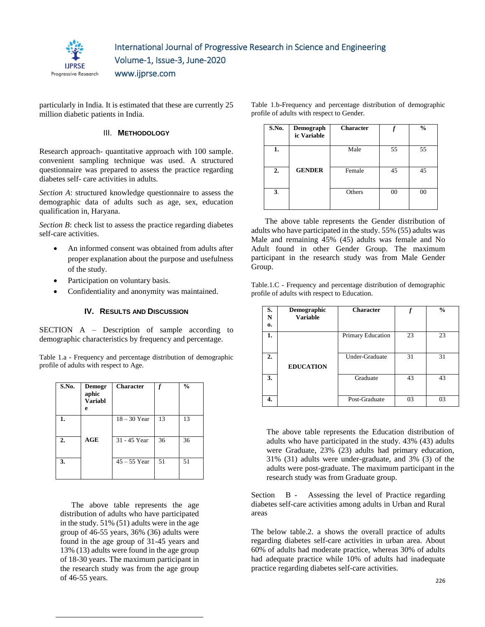

www.ijprse.com

particularly in India. It is estimated that these are currently 25 million diabetic patients in India.

## III. **METHODOLOGY**

Research approach- quantitative approach with 100 sample. convenient sampling technique was used. A structured questionnaire was prepared to assess the practice regarding diabetes self- care activities in adults.

*Section A*: structured knowledge questionnaire to assess the demographic data of adults such as age, sex, education qualification in, Haryana.

*Section B*: check list to assess the practice regarding diabetes self-care activities.

- An informed consent was obtained from adults after proper explanation about the purpose and usefulness of the study.
- Participation on voluntary basis.
- Confidentiality and anonymity was maintained.

## **IV. RESULTS AND DISCUSSION**

SECTION A – Description of sample according to demographic characteristics by frequency and percentage.

Table 1.a - Frequency and percentage distribution of demographic profile of adults with respect to Age.

| S.No. | Demogr<br>aphic<br><b>Variabl</b><br>e | <b>Character</b> |    | $\frac{0}{0}$ |
|-------|----------------------------------------|------------------|----|---------------|
| 1.    |                                        | $18 - 30$ Year   | 13 | 13            |
| 2.    | AGE                                    | 31 - 45 Year     | 36 | 36            |
| 3.    |                                        | $45 - 55$ Year   | 51 | 51            |

 The above table represents the age distribution of adults who have participated in the study. 51% (51) adults were in the age group of 46-55 years, 36% (36) adults were found in the age group of 31-45 years and 13% (13) adults were found in the age group of 18-30 years. The maximum participant in the research study was from the age group of 46-55 years.

| S.No. | Demograph<br>ic Variable | <b>Character</b> |    | $\frac{0}{0}$ |
|-------|--------------------------|------------------|----|---------------|
| 1.    |                          | Male             | 55 | 55            |
| 2.    | <b>GENDER</b>            | Female           | 45 | 45            |
| 3.    |                          | Others           | 00 | 00            |

Table 1.b-Frequency and percentage distribution of demographic

profile of adults with respect to Gender.

 The above table represents the Gender distribution of adults who have participated in the study. 55% (55) adults was Male and remaining 45% (45) adults was female and No Adult found in other Gender Group. The maximum participant in the research study was from Male Gender Group.

Table.1.C - Frequency and percentage distribution of demographic profile of adults with respect to Education.

| S.<br>N<br>0.    | Demographic<br><b>Variable</b> | <b>Character</b>  |    | $\frac{0}{0}$ |
|------------------|--------------------------------|-------------------|----|---------------|
| 1.               |                                | Primary Education | 23 | 23            |
| $\overline{2}$ . | <b>EDUCATION</b>               | Under-Graduate    | 31 | 31            |
| 3.               |                                | Graduate          | 43 | 43            |
| 4.               |                                | Post-Graduate     | 03 | 03            |

The above table represents the Education distribution of adults who have participated in the study. 43% (43) adults were Graduate, 23% (23) adults had primary education, 31% (31) adults were under-graduate, and 3% (3) of the adults were post-graduate. The maximum participant in the research study was from Graduate group.

Section B - Assessing the level of Practice regarding diabetes self-care activities among adults in Urban and Rural areas

The below table.2. a shows the overall practice of adults regarding diabetes self-care activities in urban area. About 60% of adults had moderate practice, whereas 30% of adults had adequate practice while 10% of adults had inadequate practice regarding diabetes self-care activities.